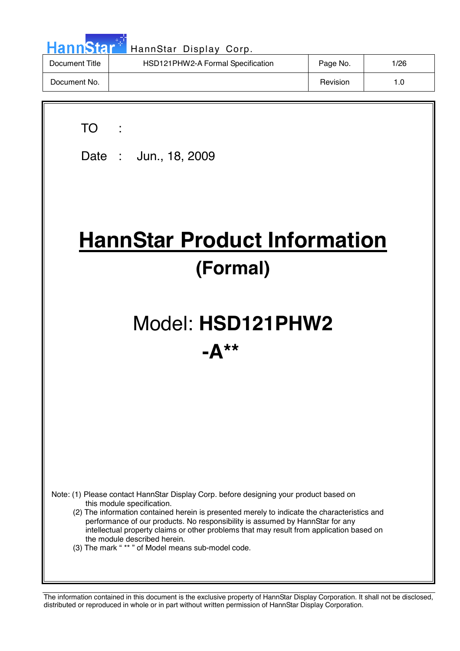| HannStar <sup>*</sup> | HannStar Display Corp.            |          |      |
|-----------------------|-----------------------------------|----------|------|
| Document Title        | HSD121PHW2-A Formal Specification | Page No. | 1/26 |
| Document No.          |                                   | Revision | 1.0  |

7

 $\overline{\phantom{a}}$ 

| <b>TO</b><br>Date: Jun., 18, 2009                                                                                                                                                                                                                              |
|----------------------------------------------------------------------------------------------------------------------------------------------------------------------------------------------------------------------------------------------------------------|
|                                                                                                                                                                                                                                                                |
| <b>HannStar Product Information</b>                                                                                                                                                                                                                            |
| (Formal)                                                                                                                                                                                                                                                       |
|                                                                                                                                                                                                                                                                |
| Model: HSD121PHW2                                                                                                                                                                                                                                              |
| $-{\bf A}$ **                                                                                                                                                                                                                                                  |
|                                                                                                                                                                                                                                                                |
|                                                                                                                                                                                                                                                                |
|                                                                                                                                                                                                                                                                |
|                                                                                                                                                                                                                                                                |
| Note: (1) Please contact HannStar Display Corp. before designing your product based on<br>this module specification.<br>(2) The information contained herein is presented merely to indicate the characteristics and                                           |
| performance of our products. No responsibility is assumed by HannStar for any<br>intellectual property claims or other problems that may result from application based on<br>the module described herein.<br>(3) The mark "** " of Model means sub-model code. |
|                                                                                                                                                                                                                                                                |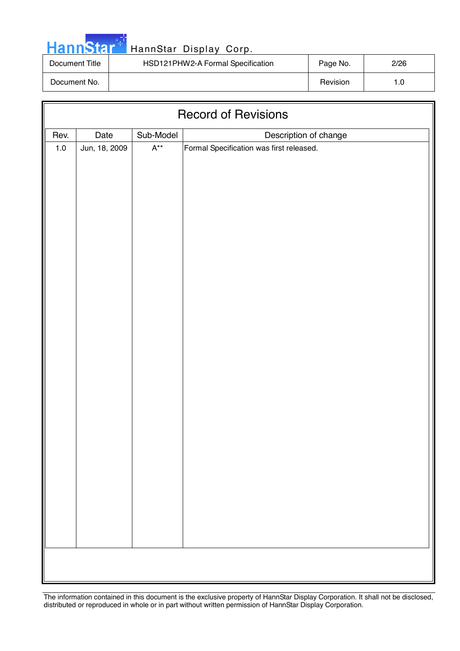|  | <b>HannStar</b> |  |
|--|-----------------|--|
|  |                 |  |
|  |                 |  |

| Document Title | HSD121PHW2-A Formal Specification | Page No. | 2/26 |
|----------------|-----------------------------------|----------|------|
| Document No.   |                                   | Revision |      |

| <b>Record of Revisions</b> |               |                           |                                                                   |  |  |  |
|----------------------------|---------------|---------------------------|-------------------------------------------------------------------|--|--|--|
| Rev.                       | Date          | Sub-Model                 |                                                                   |  |  |  |
| $1.0\,$                    | Jun, 18, 2009 | $\mathsf{A}^{\star\star}$ | Description of change<br>Formal Specification was first released. |  |  |  |
|                            |               |                           |                                                                   |  |  |  |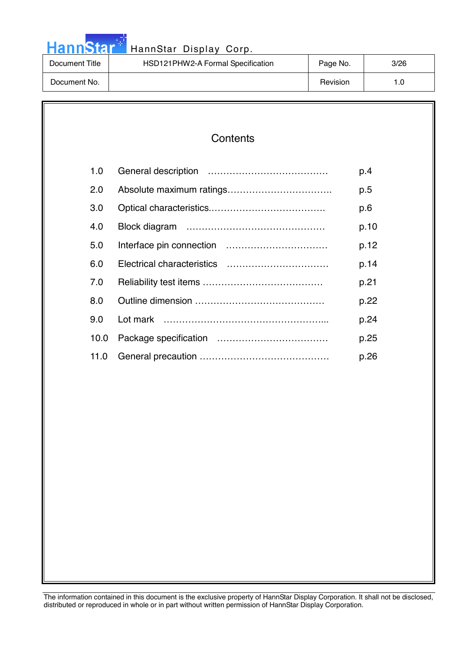|  |  | <b>HannStar</b> |  |
|--|--|-----------------|--|
|  |  |                 |  |

| Document Title | HSD121PHW2-A Formal Specification | Page No. | 3/26 |
|----------------|-----------------------------------|----------|------|
| Document No.   |                                   | Revision | 1.O  |

| 1.0  | p.4  |
|------|------|
| 2.0  | p.5  |
| 3.0  | p.6  |
| 4.0  | p.10 |
| 5.0  | p.12 |
| 6.0  | p.14 |
| 7.0  | p.21 |
| 8.0  | p.22 |
| 9.0  | p.24 |
| 10.0 | p.25 |
| 11.0 | p.26 |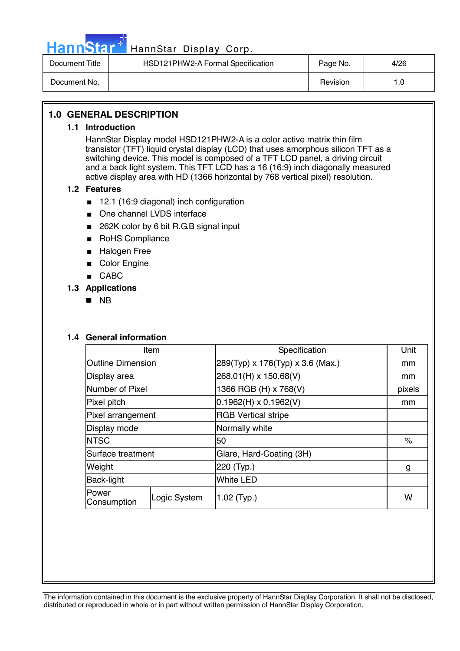

# HannStar<sup>17</sup> HannStar Display Corp.

| Document Title | HSD121PHW2-A Formal Specification | Page No. | 4/26 |
|----------------|-----------------------------------|----------|------|
| Document No.   |                                   | Revision | . 0  |

#### **1.0 GENERAL DESCRIPTION**

#### **1.1 Introduction**

HannStar Display model HSD121PHW2-A is a color active matrix thin film transistor (TFT) liquid crystal display (LCD) that uses amorphous silicon TFT as a switching device. This model is composed of a TFT LCD panel, a driving circuit and a back light system. This TFT LCD has a 16 (16:9) inch diagonally measured active display area with HD (1366 horizontal by 768 vertical pixel) resolution.

#### **1.2 Features**

- 12.1 (16:9 diagonal) inch configuration
- One channel LVDS interface
- 262K color by 6 bit R.G.B signal input
- RoHS Compliance
- Halogen Free
- Color Engine
- CABC

#### **1.3 Applications**

! NB

#### **1.4 General information**

| Item                     |                               | Specification                    | Unit   |
|--------------------------|-------------------------------|----------------------------------|--------|
| <b>Outline Dimension</b> |                               | 289(Typ) x 176(Typ) x 3.6 (Max.) | mm     |
| Display area             |                               | 268.01(H) x 150.68(V)            | mm     |
| Number of Pixel          |                               | 1366 RGB (H) x 768(V)            | pixels |
| Pixel pitch              |                               | $0.1962(H) \times 0.1962(V)$     | mm     |
| Pixel arrangement        |                               | <b>RGB Vertical stripe</b>       |        |
| Display mode             |                               | Normally white                   |        |
| <b>NTSC</b>              |                               | 50                               | $\%$   |
| Surface treatment        |                               | Glare, Hard-Coating (3H)         |        |
| Weight                   |                               | 220 (Typ.)                       | g      |
| Back-light               |                               | <b>White LED</b>                 |        |
| Power<br>Consumption     | Logic System<br>$1.02$ (Typ.) |                                  | W      |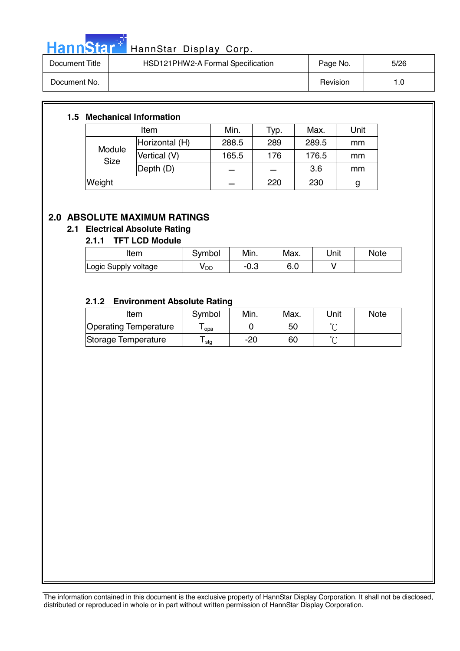

# HannStar<sup>t HannStar</sup> Display Corp.

| Document Title | HSD121PHW2-A Formal Specification | Page No. | 5/26 |
|----------------|-----------------------------------|----------|------|
| Document No.   |                                   | Revision | 1.0  |

#### **1.5 Mechanical Information**

|                       | Item           | Min.  | Typ. | Max.  | Unit |
|-----------------------|----------------|-------|------|-------|------|
|                       | Horizontal (H) | 288.5 | 289  | 289.5 | mm   |
| Module<br><b>Size</b> | Vertical (V)   | 165.5 | 176  | 176.5 | mm   |
|                       | Depth (D)      |       |      | 3.6   | mm   |
| Weight                |                |       | 220  | 230   | g    |

#### **2.0 ABSOLUTE MAXIMUM RATINGS**

#### **2.1 Electrical Absolute Rating**

#### **2.1.1 TFT LCD Module**

| Item                 | Symbol          | Min. | Max. | Unit | <b>Note</b> |
|----------------------|-----------------|------|------|------|-------------|
| Logic Supply voltage | y <sub>DD</sub> | −∪.ം |      |      |             |

#### **2.1.2 Environment Absolute Rating**

| Item                  | Symbol           | Min. | Max. | Unit | <b>Note</b> |
|-----------------------|------------------|------|------|------|-------------|
| Operating Temperature | opa              |      | 50   |      |             |
| Storage Temperature   | <sup>l</sup> stg | -20  | 60   |      |             |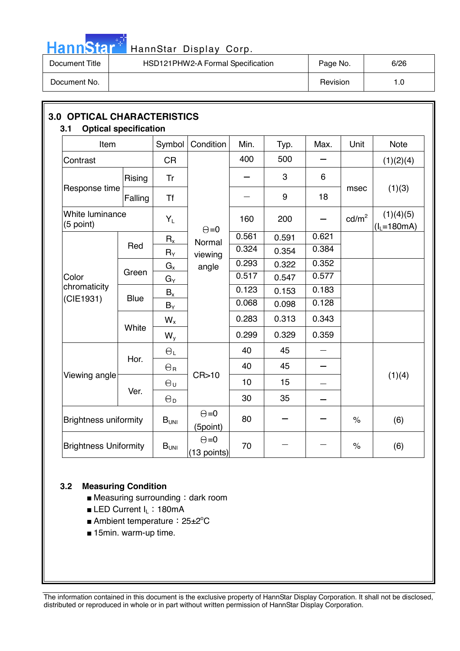

# HannStar<sup>#</sup> HannStar Display Corp.

| Document Title | HSD121PHW2-A Formal Specification | Page No. | 6/26 |
|----------------|-----------------------------------|----------|------|
| Document No.   |                                   | Revision | 0. ا |

| Item                         |             | Symbol                | Condition                     | Min.  | Typ.  | Max.  | Unit              | <b>Note</b>                  |  |
|------------------------------|-------------|-----------------------|-------------------------------|-------|-------|-------|-------------------|------------------------------|--|
| Contrast                     |             | <b>CR</b>             |                               | 400   | 500   |       |                   | (1)(2)(4)                    |  |
|                              | Rising      | Tr                    |                               |       | 3     | 6     |                   |                              |  |
| Response time                | Falling     | <b>Tf</b>             |                               |       | 9     | 18    | msec              | (1)(3)                       |  |
| White luminance<br>(5 point) |             | $Y_L$                 | $\Theta = 0$                  | 160   | 200   |       | cd/m <sup>2</sup> | (1)(4)(5)<br>$(I_1 = 180mA)$ |  |
|                              |             | $R_{x}$               | Normal                        | 0.561 | 0.591 | 0.621 |                   |                              |  |
| Color                        | Red         | $R_\Upsilon$          | viewing                       | 0.324 | 0.354 | 0.384 |                   |                              |  |
|                              |             | $G_{x}$               | angle                         | 0.293 | 0.322 | 0.352 |                   |                              |  |
|                              | Green       | $G_Y$                 |                               | 0.517 | 0.547 | 0.577 |                   |                              |  |
| chromaticity                 |             | $B_x$                 |                               | 0.123 | 0.153 | 0.183 |                   |                              |  |
| (CIE1931)                    | <b>Blue</b> | $B_Y$                 |                               | 0.068 | 0.098 | 0.128 |                   |                              |  |
|                              |             | $W_{x}$               |                               | 0.283 | 0.313 | 0.343 |                   |                              |  |
|                              | White       | $W_{y}$               |                               | 0.299 | 0.329 | 0.359 |                   |                              |  |
|                              |             | $\Theta_L$            |                               | 40    | 45    |       |                   |                              |  |
|                              | Hor.        | $\Theta_{\rm R}$      |                               | 40    | 45    |       |                   |                              |  |
| Viewing angle                |             | $\Theta_{\sf U}$      | CR>10                         | 10    | 15    |       |                   | (1)(4)                       |  |
|                              | Ver.        | $\Theta_{\mathsf{D}}$ |                               | 30    | 35    |       |                   |                              |  |
| <b>Brightness uniformity</b> |             | $B_{UNI}$             | $\Theta = 0$<br>(5point)      | 80    |       |       | $\%$              | (6)                          |  |
| <b>Brightness Uniformity</b> |             | $B_{UNI}$             | $\Theta = 0$<br>$(13$ points) | 70    |       |       | $\%$              | (6)                          |  |

#### **3.2 Measuring Condition**

- $\blacksquare$  Measuring surrounding : dark room
- LED Current I<sub>L</sub>: 180mA
- Ambient temperature: 25±2<sup>°</sup>C
- 15min. warm-up time.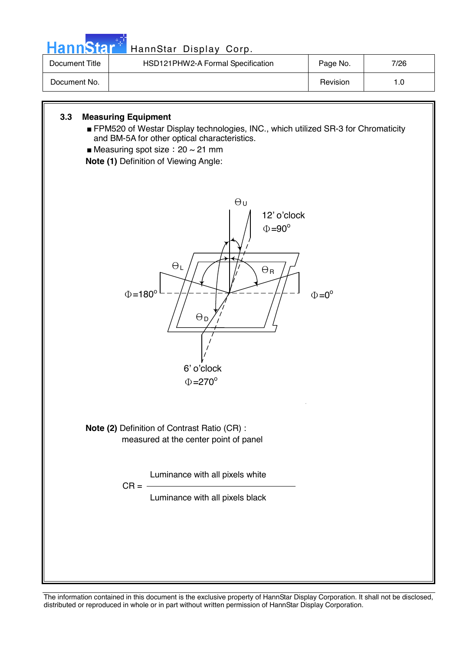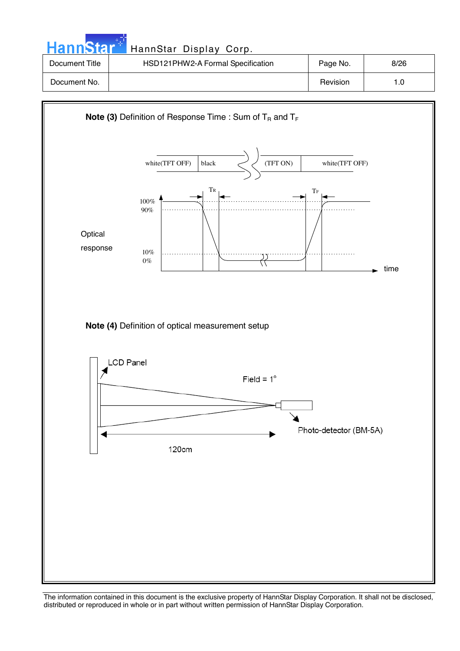| <b>HannStar</b> | HannStar Display Corp.            |          |      |
|-----------------|-----------------------------------|----------|------|
| Document Title  | HSD121PHW2-A Formal Specification | Page No. | 8/26 |
| Document No.    |                                   | Revision | 1.0  |

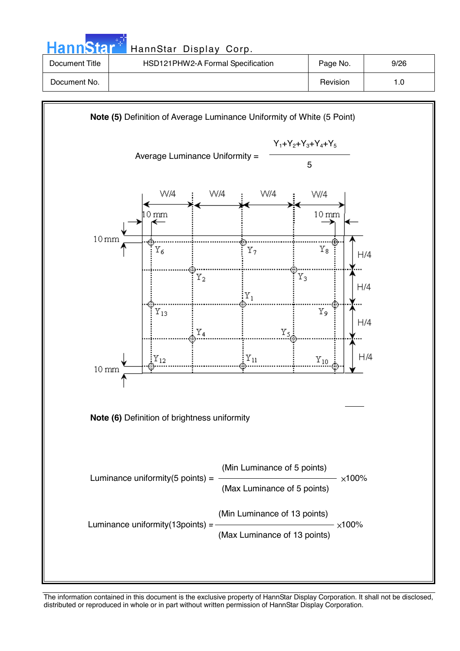| HannStar <sup>+</sup> | HannStar Display Corp.            |          |      |
|-----------------------|-----------------------------------|----------|------|
| Document Title        | HSD121PHW2-A Formal Specification | Page No. | 9/26 |
| Document No.          |                                   | Revision | 1.0  |

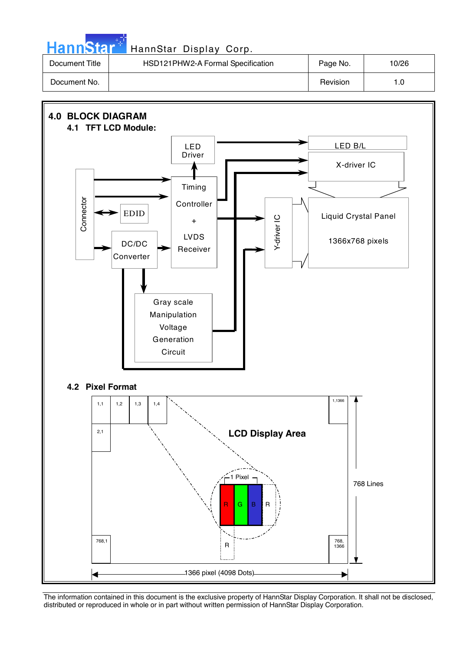| <b>HannStar</b> * | HannStar Display Corp.            |          |       |
|-------------------|-----------------------------------|----------|-------|
| Document Title    | HSD121PHW2-A Formal Specification | Page No. | 10/26 |
| Document No.      |                                   | Revision | 1.0   |

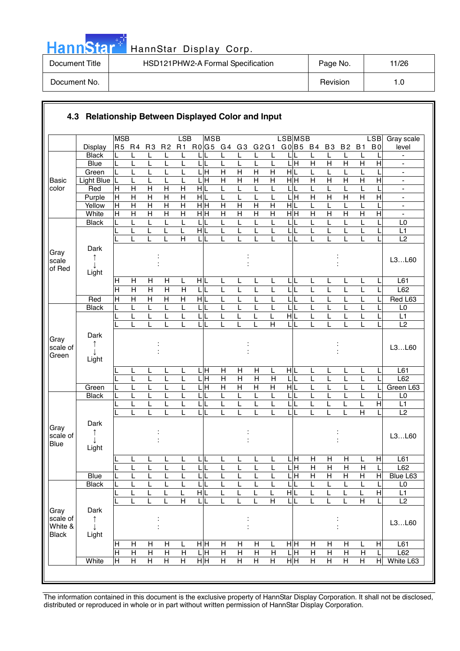|  |  | annst |  |
|--|--|-------|--|
|  |  |       |  |

### HannStar Display Corp. [19] HannStar Display Corp.

| Document Title | HSD121PHW2-A Formal Specification | Page No. | 11/26 |
|----------------|-----------------------------------|----------|-------|
| Document No.   |                                   | Revision | 1.C   |

|                                             |                    | <b>MSB</b>     |                                |                                |                                | LSB                     | <b>MSB</b>                   |                              |                           |                |                         | <b>LSBMSB</b>             |                     |                     |                     |                | LSB            | Gray scale                                               |
|---------------------------------------------|--------------------|----------------|--------------------------------|--------------------------------|--------------------------------|-------------------------|------------------------------|------------------------------|---------------------------|----------------|-------------------------|---------------------------|---------------------|---------------------|---------------------|----------------|----------------|----------------------------------------------------------|
|                                             | <b>Display</b>     | R5 R4          |                                | R <sub>3</sub>                 | R <sub>2</sub>                 |                         | R1 R0 G5 G4                  |                              | G <sub>3</sub>            | G2G1           |                         | GO B5 B4                  |                     | B <sub>3</sub>      | <b>B2</b>           | <b>B1</b>      | B <sub>0</sub> | level                                                    |
|                                             | <b>Black</b>       |                |                                | L                              | L                              | L                       |                              | L                            | L                         | L              | L                       | LIL                       |                     | L                   | L                   | L              |                | $\overline{\phantom{a}}$                                 |
|                                             | <b>Blue</b>        | L              | L                              | L                              | L                              | L                       | LIL                          | L                            | L                         | L              | Г                       | L H                       | $\overline{H}$      | $\overline{H}$      | $\overline{H}$      | $\overline{H}$ | $\overline{H}$ |                                                          |
|                                             | Green              |                | L                              | L                              |                                |                         | $\overline{\mathbf{H}}$      | $\overline{H}$               | $\overline{H}$            | $\overline{H}$ | $\overline{H}$          | H L                       | L                   | L                   | L                   |                |                | $\frac{1}{2}$                                            |
| <b>Basic</b>                                | <b>Light Blue</b>  | L              | L                              | L                              |                                | L                       | ГI<br>Н                      | $\overline{H}$               | $\overline{H}$            | Н              | Η                       | $\overline{H}$ H          | H                   | $\mathsf{H}$        | $\overline{H}$      | $\overline{H}$ | $\overline{H}$ | $\blacksquare$                                           |
| color                                       | Red                | Н<br>H         | $\mathsf{H}$<br>$\overline{H}$ | $\mathsf{H}$<br>$\overline{H}$ | $\mathsf{H}$<br>$\overline{H}$ | Н<br>$\overline{H}$     | HIL<br>HL                    | L                            | L                         | L<br>L         | L                       | L<br>$\frac{1}{\text{H}}$ | L<br>$\overline{H}$ | L<br>$\overline{H}$ | L<br>$\overline{H}$ | $\overline{H}$ | $\overline{H}$ | $\blacksquare$                                           |
|                                             | Purple<br>Yellow   | $\mathsf{H}$   | $\overline{H}$                 | $\overline{\mathsf{H}}$        | $\overline{\mathsf{H}}$        | $\overline{H}$          | нŀн                          | L<br>$\overline{\mathsf{H}}$ | $\overline{H}$            | $\overline{H}$ | L<br>$\overline{H}$     | H L                       | L                   |                     | L                   |                |                | $\qquad \qquad \blacksquare$<br>$\overline{\phantom{a}}$ |
|                                             | White              | $\overline{H}$ | $\overline{H}$                 | $\overline{H}$                 | $\overline{H}$                 | $\overline{\mathsf{H}}$ | $\frac{}{\mathbf H}$         | $\overline{H}$               | $\overline{H}$            | $\overline{H}$ | $\overline{H}$          | $\overline{H}$ H          | $\overline{H}$      | $\overline{H}$      | $\overline{H}$      | $\overline{H}$ | $\overline{H}$ | ÷,                                                       |
|                                             | <b>Black</b>       |                |                                | L                              |                                | L                       | L                            | L                            |                           | L              | L                       | L                         |                     |                     | L                   |                |                | L <sub>0</sub>                                           |
|                                             |                    |                | L                              | L                              | L                              | L                       | HL                           | L                            | L                         | L              | L                       | L                         | L                   | L                   | L                   | L              |                | L1                                                       |
|                                             |                    |                |                                |                                |                                | $\overline{H}$          | ЦL                           | L                            |                           | L              | L                       | LL                        |                     |                     | L                   | L              |                | L2                                                       |
| Gray<br>scale                               | Dark<br>↑<br>T     |                |                                |                                |                                |                         |                              |                              |                           |                |                         |                           |                     |                     |                     |                |                | L3L60                                                    |
| of Red                                      | Light              |                |                                |                                |                                |                         |                              |                              |                           |                |                         |                           |                     |                     |                     |                |                |                                                          |
|                                             |                    | $\mathsf{H}$   | H                              | H                              | H                              | L                       | HL                           | L                            | L                         | L              | L                       | LL                        | L                   | L                   | L                   | L              |                | L <sub>61</sub>                                          |
|                                             |                    | $\overline{H}$ | $\overline{H}$                 | $\overline{\mathsf{H}}$        | $\overline{\mathsf{H}}$        | $\overline{H}$          | LIL                          | L                            | L                         | L              | L                       | L<br>L                    | L                   | L                   | L                   | L              |                | L62                                                      |
|                                             | Red                | H              | $\overline{H}$                 | $\overline{H}$                 | $\overline{H}$                 | $\overline{H}$          | $\frac{1}{\sqrt{2}}$         | L                            |                           | L              | L                       | $\overline{L}$            |                     |                     | L                   |                |                | Red L63                                                  |
|                                             | <b>Black</b>       | L              | L                              | L                              | L                              | L                       | LIL                          | L                            |                           | L              | L                       | LL                        | L                   |                     | L                   | L              |                | L <sub>0</sub>                                           |
|                                             |                    |                | L                              | L                              | L                              |                         | L<br>IL                      | L                            |                           |                | L                       | $\overline{H}$            |                     |                     | L                   | Ĺ              |                | L1                                                       |
|                                             |                    |                | L                              | L                              |                                | L                       | LL                           | L                            |                           |                | Η                       | L L                       | L                   | L                   | L                   | L              |                | L2                                                       |
| Gray<br>scale of<br>Green                   | Dark<br>↑<br>Light |                |                                |                                |                                |                         |                              |                              |                           |                |                         |                           |                     |                     |                     |                |                | L3L60                                                    |
|                                             |                    |                | L                              | L                              |                                | L                       | LЩ                           | H                            | H                         | H              | L                       | HL                        | L                   | L                   | L                   | L              |                | L61                                                      |
|                                             |                    |                | L                              | L                              | L                              | L                       | LН                           | H                            | $\boldsymbol{\mathsf{H}}$ | $\mathsf{H}$   | H                       | L                         | L                   | L                   | L                   | L              |                | L62                                                      |
|                                             | Green              |                |                                | L                              |                                |                         | $\overline{\mathbf{H}}$<br>L | $\overline{H}$               | $\overline{H}$            | $\overline{H}$ | $\overline{\mathsf{H}}$ | НL                        |                     |                     | L                   |                |                | Green L63                                                |
|                                             | <b>Black</b>       | L              |                                | L                              |                                | L                       | LIL                          | L                            |                           | L              | L                       | LL                        | L                   |                     | L                   | L              |                | L <sub>0</sub>                                           |
|                                             |                    |                | L                              | L                              | L                              |                         | L<br>IL                      | L                            | L                         | L              | L                       | LL                        | L                   |                     | L                   | L              | $\overline{H}$ | L1                                                       |
|                                             |                    |                | L                              | L                              | L                              | L                       | τL                           | L                            | L                         | L              | L                       | LL                        | L                   | L                   | L                   | $\overline{H}$ |                | L2                                                       |
| Gray<br>scale of<br><b>Blue</b>             | Dark<br>T<br>Light |                |                                |                                |                                |                         |                              |                              |                           |                |                         |                           |                     |                     |                     |                |                | L3L60                                                    |
|                                             |                    |                | ┕                              | <u>ь</u>                       | щ                              |                         | τĮ                           | ь                            |                           | ┕              | ►                       | $\frac{\Gamma}{H}$        | $\overline{H}$      | $\overline{H}$      | H                   | щ              | H              | L61                                                      |
|                                             |                    | L              | L                              | L                              | L                              | L                       | LIL                          | L                            | L                         | L              | L                       | ЦH                        | $\overline{H}$      | H                   | $\mathsf{H}$        | $\mathsf{H}$   | L              | L62                                                      |
|                                             | Blue               | L              | L                              | L                              | L                              | L                       | LIL                          | L                            |                           | L              | L                       | L H                       | Η                   | $\overline{H}$      | $\overline{H}$      | Н              | $\mathsf{H}$   | Blue L63                                                 |
|                                             | <b>Black</b>       |                |                                | L                              |                                |                         | LL                           | L                            |                           | L              | L                       | LL                        |                     | L                   | L                   |                |                | L0                                                       |
|                                             |                    |                | L                              | L                              | L                              | L                       | $\frac{1}{\sqrt{2}}$         | L                            |                           | L              | L                       | НL                        | L                   |                     | L                   | L              | $\overline{H}$ | L1                                                       |
|                                             |                    |                | L                              | L                              | L                              | $\overline{\mathsf{H}}$ | τī                           | L                            |                           |                | $\overline{\mathsf{H}}$ | LL                        |                     |                     | L                   | $\overline{H}$ |                | $\overline{L2}$                                          |
| Gray<br>scale of<br>White &<br><b>Black</b> | Dark<br>↑<br>Light |                |                                |                                |                                |                         |                              |                              |                           |                |                         |                           |                     |                     |                     |                |                | L3L60                                                    |
|                                             |                    | Н              | Н                              | H                              | н                              | L                       | нŀн                          | H                            | Н                         | H              | L                       | нŀн                       | Н                   | H                   | Н                   | L              | H              | L61                                                      |
|                                             |                    | Н              | $\overline{H}$                 | $\overline{H}$                 | $\overline{H}$                 | $\overline{H}$          | 믘                            | $\overline{H}$               | $\overline{H}$            | $\overline{H}$ | $\overline{H}$          | 믘                         | $\overline{H}$      | $\overline{H}$      | $\overline{H}$      | H              |                | L62                                                      |
|                                             | White              | $\overline{H}$ | H                              | $\overline{H}$                 | $\overline{H}$                 | $\overline{H}$          | H <sub>H</sub>               | $\overline{H}$               | $\overline{H}$            | Н              | $\overline{H}$          | H H                       | $\overline{H}$      | H                   | $\overline{H}$      | $\overline{H}$ | H              | White L63                                                |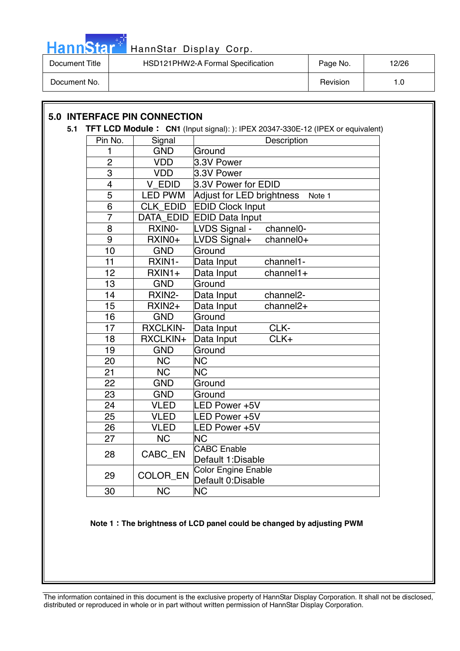

| Document Title | HSD121PHW2-A Formal Specification | Page No. | 12/26 |
|----------------|-----------------------------------|----------|-------|
| Document No.   |                                   | Revision | ∣.C   |

### **5.0 INTERFACE PIN CONNECTION**

#### **5.1 TFT LCD Module CN1** (Input signal): ): IPEX 20347-330E-12 (IPEX or equivalent)

| Pin No.        | Signal          | Description                          |
|----------------|-----------------|--------------------------------------|
| 1              | <b>GND</b>      | Ground                               |
| $\overline{2}$ | <b>VDD</b>      | 3.3V Power                           |
| $\overline{3}$ | <b>VDD</b>      | 3.3V Power                           |
| $\overline{4}$ | V EDID          | 3.3V Power for EDID                  |
| $\overline{5}$ | <b>LED PWM</b>  | Adjust for LED brightness<br>Note 1  |
| 6              | <b>CLK EDID</b> | <b>EDID Clock Input</b>              |
| $\overline{7}$ | DATA_EDID       | <b>EDID Data Input</b>               |
| 8              | RXINO-          | LVDS Signal -<br>channel0-           |
| 9              | RXIN0+          | LVDS Signal+<br>channel0+            |
| 10             | <b>GND</b>      | Ground                               |
| 11             | RXIN1-          | Data Input<br>channel1-              |
| 12             | RXIN1+          | $channel1+$<br>Data Input            |
| 13             | <b>GND</b>      | Ground                               |
| 14             | RXIN2-          | Data Input<br>channel <sub>2</sub> - |
| 15             | RXIN2+          | channel <sub>2+</sub><br>Data Input  |
| 16             | <b>GND</b>      | Ground                               |
| 17             | <b>RXCLKIN-</b> | CLK-<br>Data Input                   |
| 18             | RXCLKIN+        | CLK+<br>Data Input                   |
| 19             | <b>GND</b>      | Ground                               |
| 20             | <b>NC</b>       | <b>NC</b>                            |
| 21             | NC              | <b>NC</b>                            |
| 22             | <b>GND</b>      | Ground                               |
| 23             | <b>GND</b>      | Ground                               |
| 24             | <b>VLED</b>     | LED Power +5V                        |
| 25             | <b>VLED</b>     | LED Power +5V                        |
| 26             | <b>VLED</b>     | LED Power +5V                        |
| 27             | <b>NC</b>       | <b>NC</b>                            |
| 28             | CABC_EN         | <b>CABC</b> Enable                   |
|                |                 | Default 1:Disable                    |
| 29             | COLOR_EN        | Color Engine Enable                  |
|                |                 | Default 0:Disable                    |
| 30             | <b>NC</b>       | <b>NC</b>                            |

**Note 1 The brightness of LCD panel could be changed by adjusting PWM**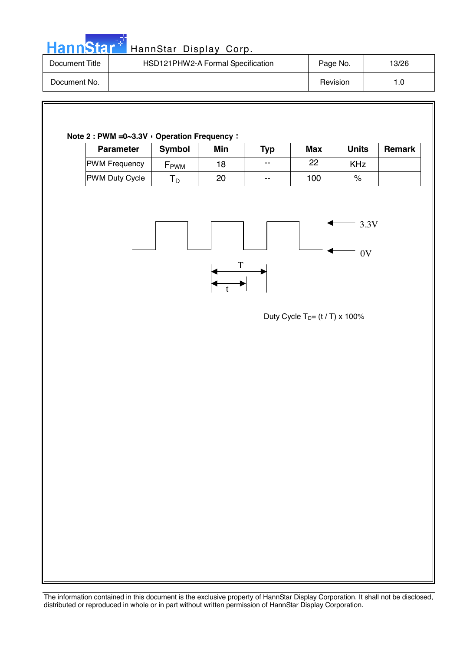|  |  | HannStar * |  |
|--|--|------------|--|
|  |  |            |  |
|  |  |            |  |

| Document Title | HSD121PHW2-A Formal Specification | Page No. | 13/26 |
|----------------|-----------------------------------|----------|-------|
| Document No.   |                                   | Revision | 1.0   |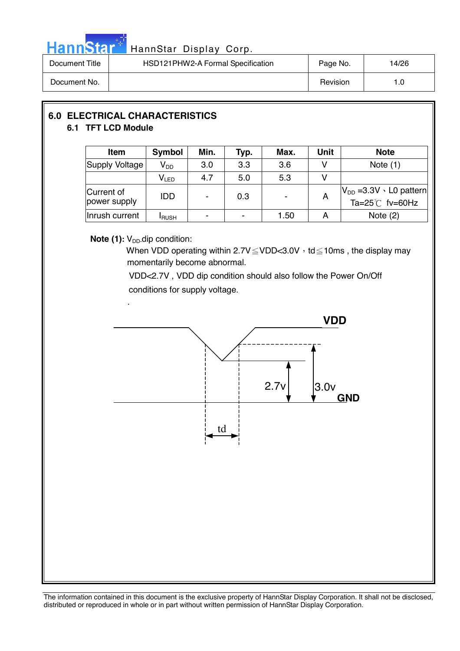

| Document Title | HSD121PHW2-A Formal Specification | Page No. | 14/26 |
|----------------|-----------------------------------|----------|-------|
| Document No.   |                                   | Revision | 1.0   |

#### **6.0 ELECTRICAL CHARACTERISTICS 6.1 TFT LCD Module**

| Item                       | Symbol                      | Min. | Typ. | Max. | Unit | <b>Note</b>                                                     |
|----------------------------|-----------------------------|------|------|------|------|-----------------------------------------------------------------|
| Supply Voltage             | V <sub>DD</sub>             | 3.0  | 3.3  | 3.6  |      | Note $(1)$                                                      |
|                            | $\mathsf{V}_{\mathsf{LED}}$ | 4.7  | 5.0  | 5.3  |      |                                                                 |
| Current of<br>power supply | IDD                         |      | 0.3  |      | A    | $V_{DD}$ =3.3V $\cdot$ L0 pattern<br>Ta= $25^{\circ}$ C fv=60Hz |
| Inrush current             | <b>I</b> RUSH               |      |      | 1.50 | A    | Note $(2)$                                                      |

#### **Note (1):** V<sub>DD</sub>-dip condition:

When VDD operating within  $2.7V \leq VDD < 3.0V$ , td  $\leq 10$ ms, the display may momentarily become abnormal.

 VDD<2.7V , VDD dip condition should also follow the Power On/Off conditions for supply voltage.

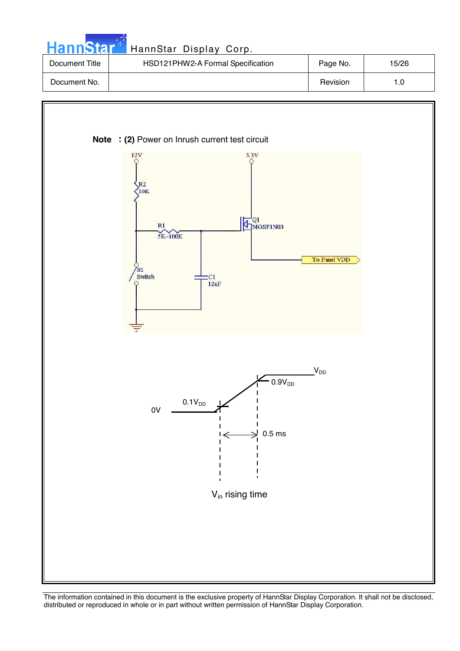| HannStar <sup>*</sup> | HannStar Display Corp.            |          |       |
|-----------------------|-----------------------------------|----------|-------|
| Document Title        | HSD121PHW2-A Formal Specification | Page No. | 15/26 |
| Document No.          |                                   | Revision | 1.0   |

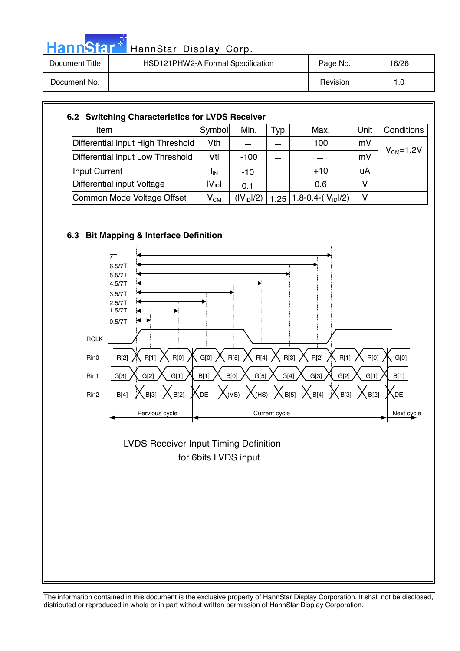| HannStar <sup>**</sup> | HannStar Display Corp.            |          |       |
|------------------------|-----------------------------------|----------|-------|
| Document Title         | HSD121PHW2-A Formal Specification | Page No. | 16/26 |
| Document No.           |                                   | Revision | 1.0   |

| Item                              | Symbol                     | Min.                   | Typ. | Max.                 | Unit | Conditions |
|-----------------------------------|----------------------------|------------------------|------|----------------------|------|------------|
| Differential Input High Threshold | Vth                        |                        |      | 100                  | mV   |            |
| Differential Input Low Threshold  | Vtl                        | $-100$                 |      |                      | mV   | $VCM=1.2V$ |
| Input Current                     | <sup>I</sup> IN            | $-10$                  |      | $+10$                | uA   |            |
| Differential input Voltage        | $ V_{\text{ID}} $          | 0.1                    |      | 0.6                  | v    |            |
| Common Mode Voltage Offset        | $\mathsf{V}_{\mathsf{CM}}$ | (IV <sub>ID</sub> ]/2) | 1.25 | 1.8-0.4- $(IVID1/2)$ | v    |            |



나라



 for 6bits LVDS input LVDS Receiver Input Timing Definition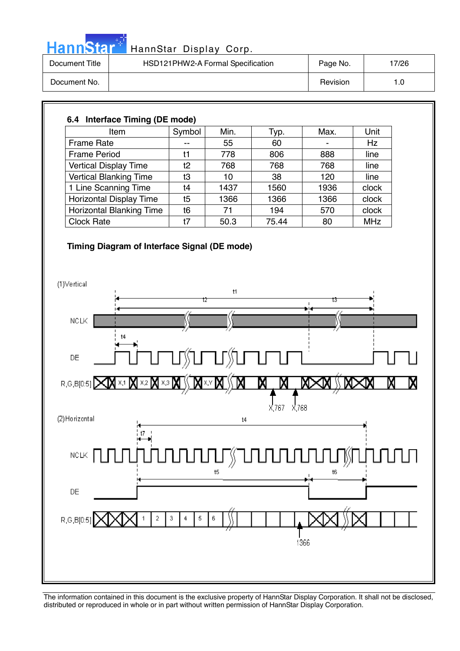| ч.<br>dannsy |  |
|--------------|--|
|--------------|--|

| Document Title | HSD121PHW2-A Formal Specification | Page No. | 7/26 |
|----------------|-----------------------------------|----------|------|
| Document No.   |                                   | Revision | 1.0  |

| 6.4 Interface Timing (DE mode)  |        |      |       |      |            |  |  |  |
|---------------------------------|--------|------|-------|------|------------|--|--|--|
| Item                            | Symbol | Min. | Typ.  | Max. | Unit       |  |  |  |
| <b>Frame Rate</b>               |        | 55   | 60    |      | Hz         |  |  |  |
| <b>Frame Period</b>             | t1     | 778  | 806   | 888  | line       |  |  |  |
| <b>Vertical Display Time</b>    | t2     | 768  | 768   | 768  | line       |  |  |  |
| <b>Vertical Blanking Time</b>   | t3     | 10   | 38    | 120  | line       |  |  |  |
| 1 Line Scanning Time            | t4     | 1437 | 1560  | 1936 | clock      |  |  |  |
| <b>Horizontal Display Time</b>  | t5     | 1366 | 1366  | 1366 | clock      |  |  |  |
| <b>Horizontal Blanking Time</b> | t6     | 71   | 194   | 570  | clock      |  |  |  |
| <b>Clock Rate</b>               | t7     | 50.3 | 75.44 | 80   | <b>MHz</b> |  |  |  |

#### **Timing Diagram of Interface Signal (DE mode)**

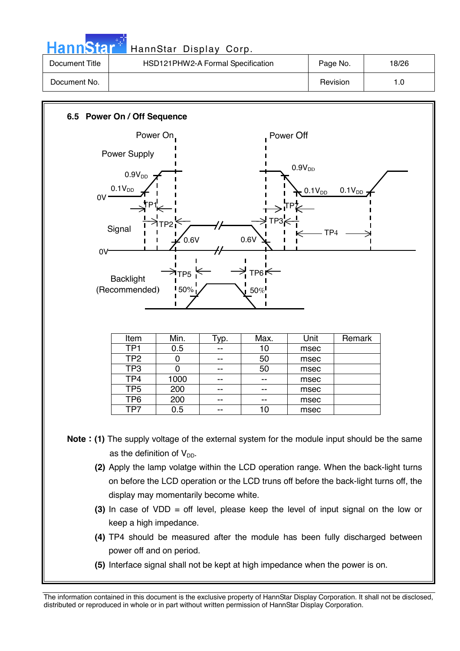|                | HannStar <sup>+</sup> HannStar Display Corp. |          |       |
|----------------|----------------------------------------------|----------|-------|
| Document Title | HSD121PHW2-A Formal Specification            | Page No. | 18/26 |
| Document No.   |                                              | Revision | 1.0   |

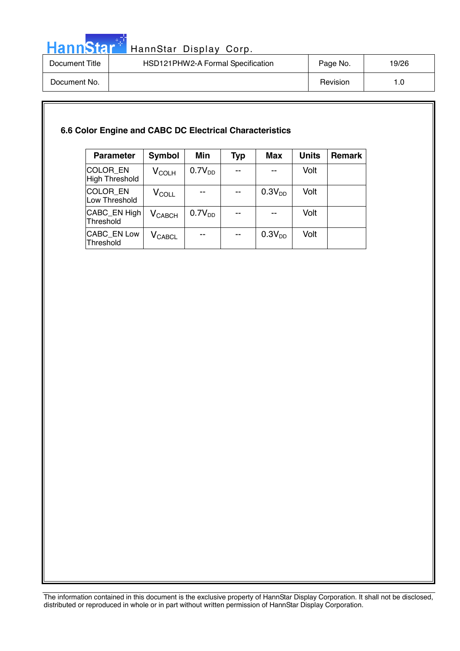

# HannStar<sup>th</sup> HannStar Display Corp.

| Document Title | HSD121PHW2-A Formal Specification | Page No. | 19/26 |
|----------------|-----------------------------------|----------|-------|
| Document No.   |                                   | Revision | ı.c   |

#### **6.6 Color Engine and CABC DC Electrical Characteristics**

| <b>Parameter</b>                  | <b>Symbol</b>                 | <b>Min</b>         | <b>Typ</b>               | Max                | <b>Units</b> | <b>Remark</b> |
|-----------------------------------|-------------------------------|--------------------|--------------------------|--------------------|--------------|---------------|
| COLOR EN<br><b>High Threshold</b> | $V_{\rm COLH}$                | 0.7V <sub>DD</sub> |                          |                    | Volt         |               |
| COLOR_EN<br>Low Threshold         | $V_{COLL}$                    |                    |                          | 0.3V <sub>DD</sub> | Volt         |               |
| CABC_EN High<br>Threshold         | $V_{CABCH}$                   | 0.7V <sub>DD</sub> | --                       |                    | Volt         |               |
| CABC_EN Low<br>Threshold          | $\mathsf{V}_{\mathsf{CABCL}}$ | --                 | $\overline{\phantom{a}}$ | 0.3V <sub>DD</sub> | Volt         |               |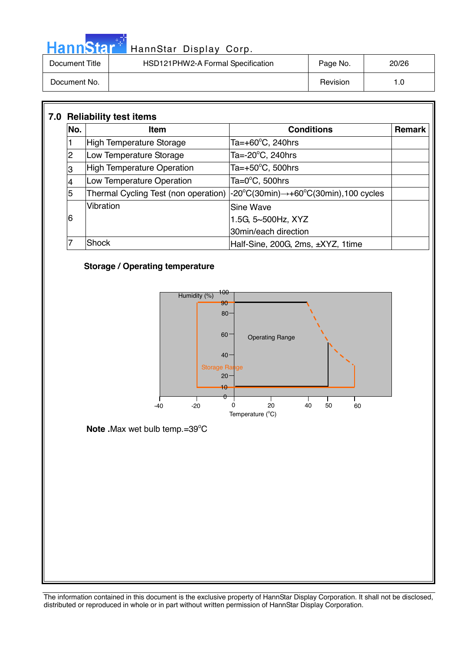|                | HannStar <sup>®</sup> HannStar Display Corp. |          |       |
|----------------|----------------------------------------------|----------|-------|
| Document Title | HSD121PHW2-A Formal Specification            | Page No. | 20/26 |
| Document No.   |                                              | Revision | 1.0   |

| No.            | <b>Item</b>                       | <b>Conditions</b>                                                                                                     | <b>Remark</b> |
|----------------|-----------------------------------|-----------------------------------------------------------------------------------------------------------------------|---------------|
|                | High Temperature Storage          | Ta=+60 $\degree$ C, 240hrs                                                                                            |               |
| $\overline{2}$ | Low Temperature Storage           | Ta= $-20^{\circ}$ C, 240hrs                                                                                           |               |
| 3              | <b>High Temperature Operation</b> | Ta= $+50^{\circ}$ C, 500hrs                                                                                           |               |
|                | Low Temperature Operation         | Ta= $0^{\circ}$ C, 500hrs                                                                                             |               |
| 5              |                                   | Thermal Cycling Test (non operation) $ -20^{\circ}C(30\text{min}) \rightarrow +60^{\circ}C(30\text{min})$ ,100 cycles |               |
|                | Vibration                         | Sine Wave                                                                                                             |               |
| 6              |                                   | 1.5G, 5~500Hz, XYZ                                                                                                    |               |
|                |                                   | 30min/each direction                                                                                                  |               |
|                | <b>Shock</b>                      | Half-Sine, 200G, 2ms, ±XYZ, 1time                                                                                     |               |

#### **Storage / Operating temperature**

مارچ<br>مارچ

Ī



**Note .**Max wet bulb temp.=39°C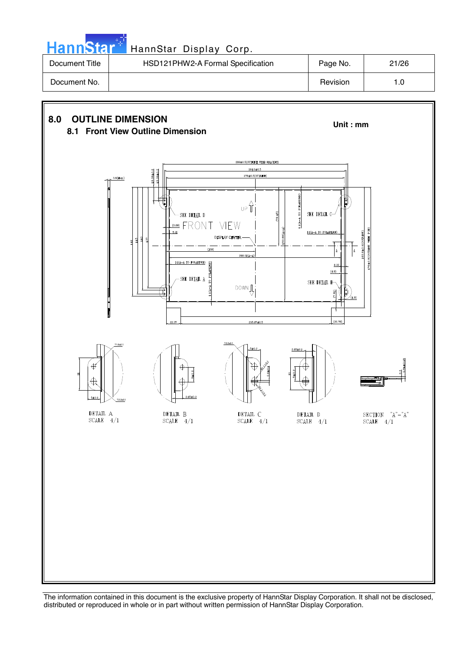| HannStar <sup>+</sup> | HannStar Display Corp.            |          |       |
|-----------------------|-----------------------------------|----------|-------|
| Document Title        | HSD121PHW2-A Formal Specification | Page No. | 21/26 |
| Document No.          |                                   | Revision | 1.0   |

والمرادي

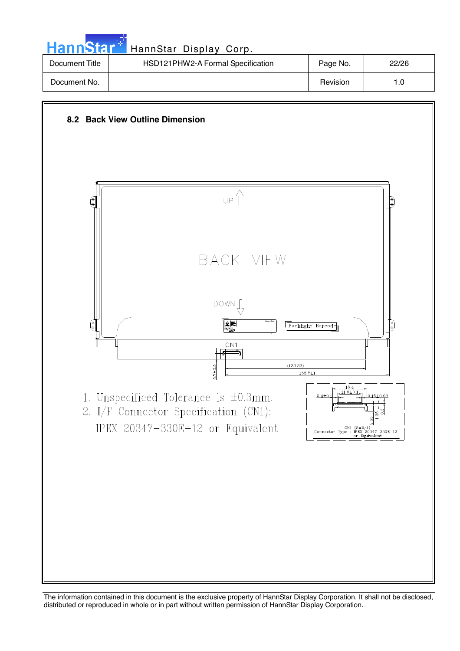| HannStar <sup>*</sup> | HannStar Display Corp.            |          |       |
|-----------------------|-----------------------------------|----------|-------|
| Document Title        | HSD121PHW2-A Formal Specification | Page No. | 22/26 |
| Document No.          |                                   | Revision | 1.0   |

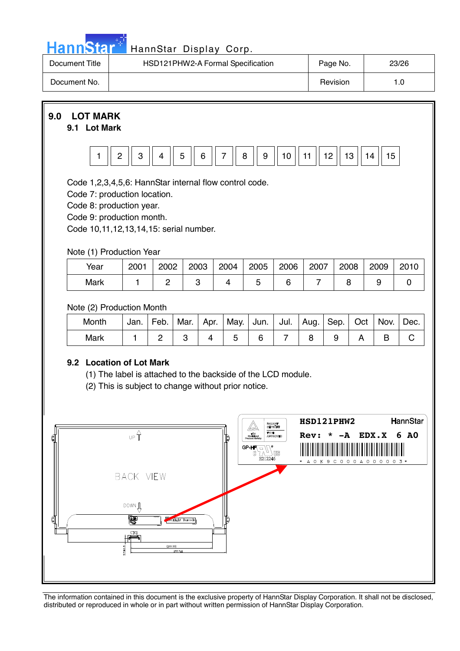| յոn | $\mathbf{A}$ |  |
|-----|--------------|--|
| . . |              |  |

| Document Title | HSD121PHW2-A Formal Specification | Page No. | 23/26 |
|----------------|-----------------------------------|----------|-------|
| Document No.   |                                   | Revision |       |

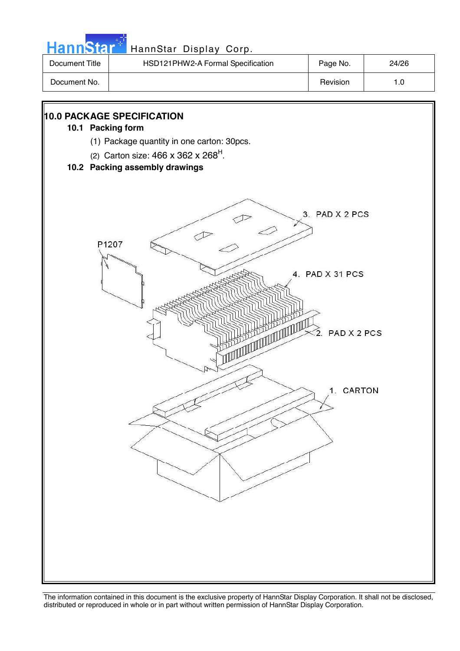| HSD121PHW2-A Formal Specification<br>Document Title | 24/26<br>Page No. |
|-----------------------------------------------------|-------------------|
| Document No.                                        | Revision<br>1.0   |

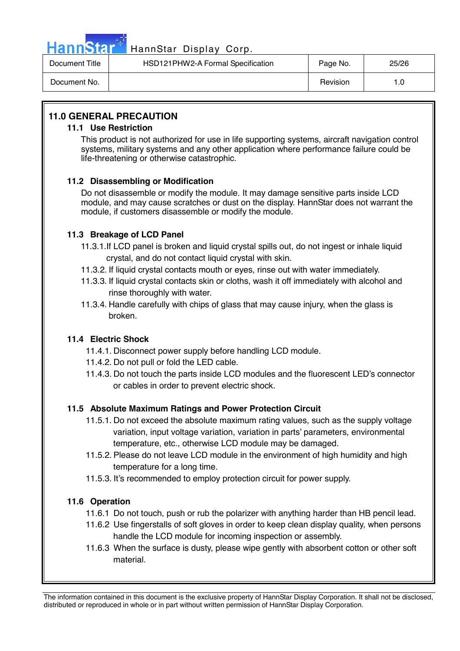

## HannStar<sup>1</sup> HannStar Display Corp.

| Document Title | HSD121PHW2-A Formal Specification | Page No. | 25/26 |
|----------------|-----------------------------------|----------|-------|
| Document No.   |                                   | Revision |       |

#### **11.0 GENERAL PRECAUTION**

#### **11.1 Use Restriction**

This product is not authorized for use in life supporting systems, aircraft navigation control systems, military systems and any other application where performance failure could be life-threatening or otherwise catastrophic.

#### **11.2 Disassembling or Modification**

 Do not disassemble or modify the module. It may damage sensitive parts inside LCD module, and may cause scratches or dust on the display. HannStar does not warrant the module, if customers disassemble or modify the module.

#### **11.3 Breakage of LCD Panel**

- 11.3.1.If LCD panel is broken and liquid crystal spills out, do not ingest or inhale liquid crystal, and do not contact liquid crystal with skin.
- 11.3.2. If liquid crystal contacts mouth or eyes, rinse out with water immediately.
- 11.3.3. If liquid crystal contacts skin or cloths, wash it off immediately with alcohol and rinse thoroughly with water.
- 11.3.4. Handle carefully with chips of glass that may cause injury, when the glass is broken.

#### **11.4 Electric Shock**

- 11.4.1. Disconnect power supply before handling LCD module.
- 11.4.2. Do not pull or fold the LED cable.
- 11.4.3. Do not touch the parts inside LCD modules and the fluorescent LED's connector or cables in order to prevent electric shock.

#### **11.5 Absolute Maximum Ratings and Power Protection Circuit**

- 11.5.1. Do not exceed the absolute maximum rating values, such as the supply voltage variation, input voltage variation, variation in parts' parameters, environmental temperature, etc., otherwise LCD module may be damaged.
- 11.5.2. Please do not leave LCD module in the environment of high humidity and high temperature for a long time.
- 11.5.3. It's recommended to employ protection circuit for power supply.

#### **11.6 Operation**

- 11.6.1 Do not touch, push or rub the polarizer with anything harder than HB pencil lead.
- 11.6.2 Use fingerstalls of soft gloves in order to keep clean display quality, when persons handle the LCD module for incoming inspection or assembly.
- 11.6.3 When the surface is dusty, please wipe gently with absorbent cotton or other soft material.